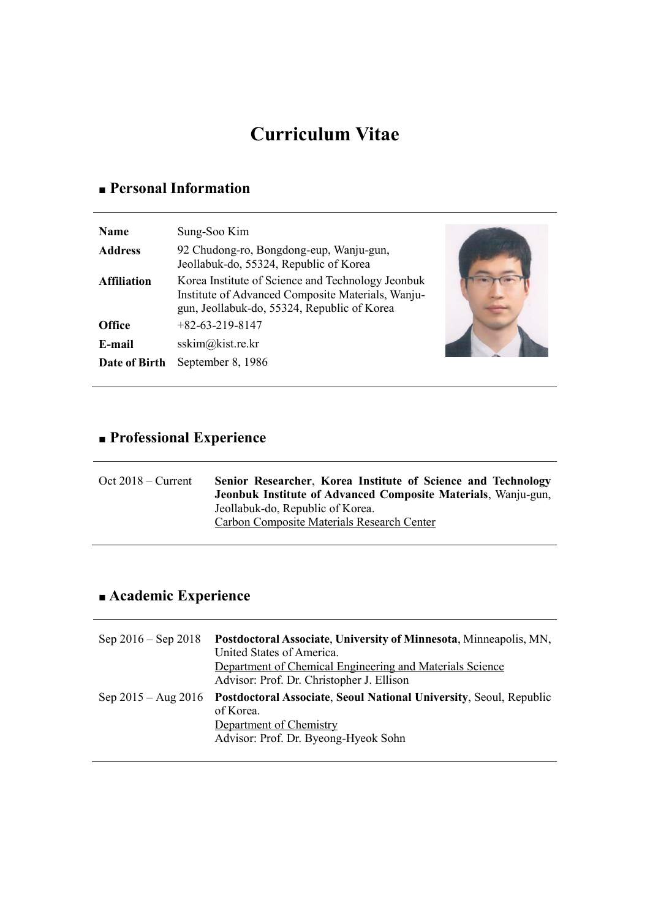# **Curriculum Vitae**

## **■ Personal Information**

| 92 Chudong-ro, Bongdong-eup, Wanju-gun,<br><b>Address</b><br>Jeollabuk-do, 55324, Republic of Korea<br>Korea Institute of Science and Technology Jeonbuk<br><b>Affiliation</b><br>Institute of Advanced Composite Materials, Wanju-<br>gun, Jeollabuk-do, 55324, Republic of Korea<br>$+82-63-219-8147$<br><b>Office</b><br>sskim@kist.re.kr<br>E-mail | <b>Name</b>   | Sung-Soo Kim      |  |
|--------------------------------------------------------------------------------------------------------------------------------------------------------------------------------------------------------------------------------------------------------------------------------------------------------------------------------------------------------|---------------|-------------------|--|
|                                                                                                                                                                                                                                                                                                                                                        |               |                   |  |
|                                                                                                                                                                                                                                                                                                                                                        |               |                   |  |
|                                                                                                                                                                                                                                                                                                                                                        |               |                   |  |
|                                                                                                                                                                                                                                                                                                                                                        |               |                   |  |
|                                                                                                                                                                                                                                                                                                                                                        | Date of Birth | September 8, 1986 |  |

# **■ Professional Experience**

| $Oct 2018 - Current$ | Senior Researcher, Korea Institute of Science and Technology<br>Jeonbuk Institute of Advanced Composite Materials, Wanju-gun, |
|----------------------|-------------------------------------------------------------------------------------------------------------------------------|
|                      | Jeollabuk-do, Republic of Korea.                                                                                              |
|                      | Carbon Composite Materials Research Center                                                                                    |

# **■ Academic Experience**

| Sep $2016 -$ Sep $2018$ | Postdoctoral Associate, University of Minnesota, Minneapolis, MN,<br>United States of America.<br>Department of Chemical Engineering and Materials Science<br>Advisor: Prof. Dr. Christopher J. Ellison |
|-------------------------|---------------------------------------------------------------------------------------------------------------------------------------------------------------------------------------------------------|
| $Sep 2015 - Aug 2016$   | Postdoctoral Associate, Seoul National University, Seoul, Republic<br>of Korea.<br>Department of Chemistry<br>Advisor: Prof. Dr. Byeong-Hyeok Sohn                                                      |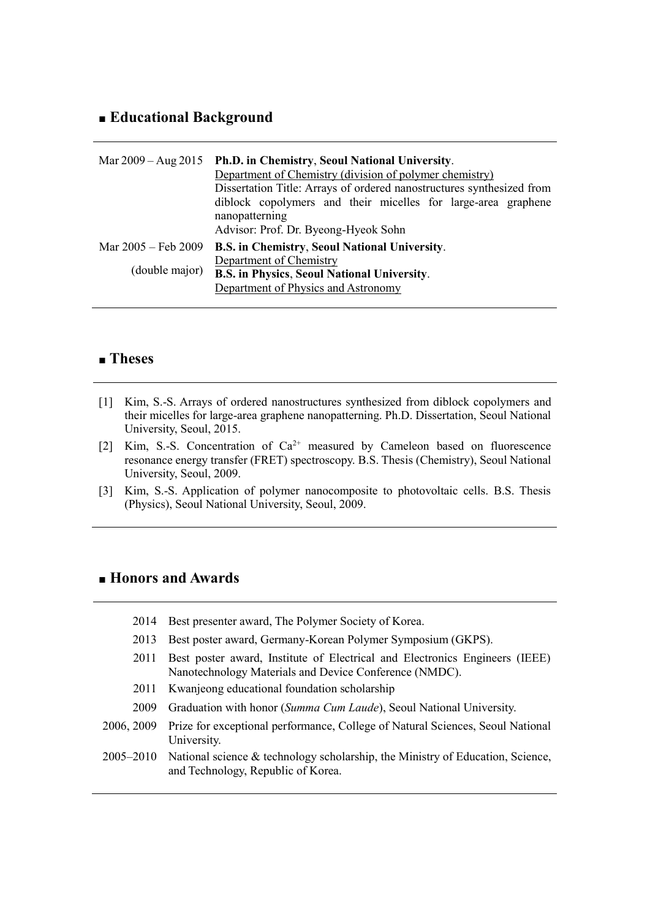### **■ Educational Background**

|                     | Mar 2009 – Aug 2015 Ph.D. in Chemistry, Seoul National University.<br>Department of Chemistry (division of polymer chemistry)<br>Dissertation Title: Arrays of ordered nanostructures synthesized from<br>diblock copolymers and their micelles for large-area graphene<br>nanopatterning<br>Advisor: Prof. Dr. Byeong-Hyeok Sohn |
|---------------------|-----------------------------------------------------------------------------------------------------------------------------------------------------------------------------------------------------------------------------------------------------------------------------------------------------------------------------------|
| Mar 2005 – Feb 2009 | B.S. in Chemistry, Seoul National University.                                                                                                                                                                                                                                                                                     |
| (double major)      | Department of Chemistry<br><b>B.S. in Physics, Seoul National University.</b>                                                                                                                                                                                                                                                     |
|                     | Department of Physics and Astronomy                                                                                                                                                                                                                                                                                               |

## **■ Theses**

- [1] Kim, S.-S. Arrays of ordered nanostructures synthesized from diblock copolymers and their micelles for large-area graphene nanopatterning. Ph.D. Dissertation, Seoul National University, Seoul, 2015.
- [2] Kim, S.-S. Concentration of  $Ca^{2+}$  measured by Cameleon based on fluorescence resonance energy transfer (FRET) spectroscopy. B.S. Thesis (Chemistry), Seoul National University, Seoul, 2009.
- [3] Kim, S.-S. Application of polymer nanocomposite to photovoltaic cells. B.S. Thesis (Physics), Seoul National University, Seoul, 2009.

#### **■ Honors and Awards**

2014 Best presenter award, The Polymer Society of Korea. 2013 Best poster award, Germany-Korean Polymer Symposium (GKPS). 2011 Best poster award, Institute of Electrical and Electronics Engineers (IEEE) Nanotechnology Materials and Device Conference (NMDC). 2011 Kwanjeong educational foundation scholarship 2009 Graduation with honor (*Summa Cum Laude*), Seoul National University. 2006, 2009 Prize for exceptional performance, College of Natural Sciences, Seoul National University. 2005–2010 National science & technology scholarship, the Ministry of Education, Science, and Technology, Republic of Korea.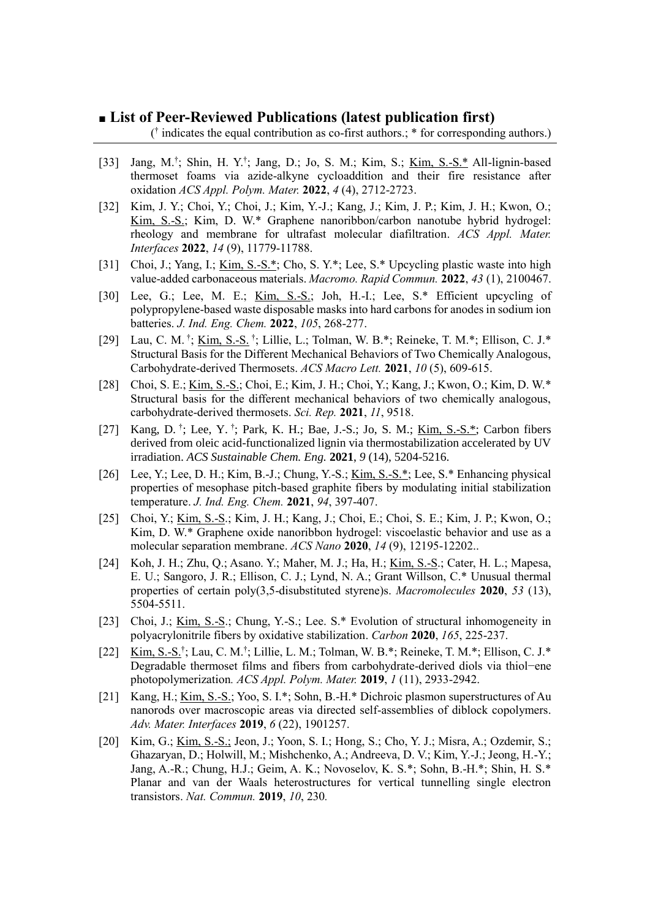#### **■ List of Peer-Reviewed Publications (latest publication first)**

( † indicates the equal contribution as co-first authors.; \* for corresponding authors.)

- [33] Jang, M.<sup>†</sup>; Shin, H. Y.<sup>†</sup>; Jang, D.; Jo, S. M.; Kim, S.; <u>Kim, S.-S.\*</u> All-lignin-based thermoset foams via azide-alkyne cycloaddition and their fire resistance after oxidation *ACS Appl. Polym. Mater.* **2022**, *4* (4), 2712-2723.
- [32] Kim, J. Y.; Choi, Y.; Choi, J.; Kim, Y.-J.; Kang, J.; Kim, J. P.; Kim, J. H.; Kwon, O.; Kim, S.-S.; Kim, D. W.\* Graphene nanoribbon/carbon nanotube hybrid hydrogel: rheology and membrane for ultrafast molecular diafiltration. *ACS Appl. Mater. Interfaces* **2022**, *14* (9), 11779-11788.
- [31] Choi, J.; Yang, I.; <u>Kim, S.-S.\*;</u> Cho, S. Y.\*; Lee, S.\* Upcycling plastic waste into high value-added carbonaceous materials. *Macromo. Rapid Commun.* **2022**, *43* (1), 2100467.
- [30] Lee, G.; Lee, M. E.; Kim, S.-S.; Joh, H.-I.; Lee, S.\* Efficient upcycling of polypropylene-based waste disposable masks into hard carbons for anodes in sodium ion batteries. *J. Ind. Eng. Chem.* **2022**, *105*, 268-277.
- [29] Lau, C. M. †; Kim, S.-S. †; Lillie, L.; Tolman, W. B.\*; Reineke, T. M.\*; Ellison, C. J.\* Structural Basis for the Different Mechanical Behaviors of Two Chemically Analogous, Carbohydrate-derived Thermosets. *ACS Macro Lett.* **2021**, *10* (5), 609-615.
- [28] Choi, S. E.; Kim, S.-S.; Choi, E.; Kim, J. H.; Choi, Y.; Kang, J.; Kwon, O.; Kim, D. W.\* Structural basis for the different mechanical behaviors of two chemically analogous, carbohydrate-derived thermosets. *Sci. Rep.* **2021**, *11*, 9518.
- [27] Kang, D.<sup>†</sup>; Lee, Y.<sup>†</sup>; Park, K. H.; Bae, J.-S.; Jo, S. M.; <u>Kim, S.-S.\*</u>; Carbon fibers derived from oleic acid-functionalized lignin via thermostabilization accelerated by UV irradiation. *ACS Sustainable Chem. Eng.* **2021**, *9* (14), 5204-5216.
- [26] Lee, Y.; Lee, D. H.; Kim, B.-J.; Chung, Y.-S.; Kim, S.-S.\*; Lee, S.\* Enhancing physical properties of mesophase pitch-based graphite fibers by modulating initial stabilization temperature. *J. Ind. Eng. Chem.* **2021**, *94*, 397-407.
- [25] Choi, Y.; <u>Kim, S.-S.;</u> Kim, J. H.; Kang, J.; Choi, E.; Choi, S. E.; Kim, J. P.; Kwon, O.; Kim, D. W.\* Graphene oxide nanoribbon hydrogel: viscoelastic behavior and use as a molecular separation membrane. *ACS Nano* **2020**, *14* (9), 12195-12202..
- [24] Koh, J. H.; Zhu, Q.; Asano. Y.; Maher, M. J.; Ha, H.; Kim, S.-S.; Cater, H. L.; Mapesa, E. U.; Sangoro, J. R.; Ellison, C. J.; Lynd, N. A.; Grant Willson, C.\* Unusual thermal properties of certain poly(3,5-disubstituted styrene)s. *Macromolecules* **2020**, *53* (13), 5504-5511.
- [23] Choi, J.; Kim, S.-S.; Chung, Y.-S.; Lee. S.\* Evolution of structural inhomogeneity in polyacrylonitrile fibers by oxidative stabilization. *Carbon* **2020**, *165*, 225-237.
- [22] Kim, S.-S.<sup>†</sup>; Lau, C. M.<sup>†</sup>; Lillie, L. M.; Tolman, W. B.\*; Reineke, T. M.\*; Ellison, C. J.\* Degradable thermoset films and fibers from carbohydrate-derived diols via thiol−ene photopolymerization*. ACS Appl. Polym. Mater.* **2019**, *1* (11), 2933-2942.
- [21] Kang, H.; Kim, S.-S.; Yoo, S. I.\*; Sohn, B.-H.\* Dichroic plasmon superstructures of Au nanorods over macroscopic areas via directed self‐assemblies of diblock copolymers. *Adv. Mater. Interfaces* **2019**, *6* (22), 1901257.
- [20] Kim, G.; Kim, S.-S.; Jeon, J.; Yoon, S. I.; Hong, S.; Cho, Y. J.; Misra, A.; Ozdemir, S.; Ghazaryan, D.; Holwill, M.; Mishchenko, A.; Andreeva, D. V.; Kim, Y.-J.; Jeong, H.-Y.; Jang, A.-R.; Chung, H.J.; Geim, A. K.; Novoselov, K. S.\*; Sohn, B.-H.\*; Shin, H. S.\* Planar and van der Waals heterostructures for vertical tunnelling single electron transistors. *Nat. Commun.* **2019**, *10*, 230*.*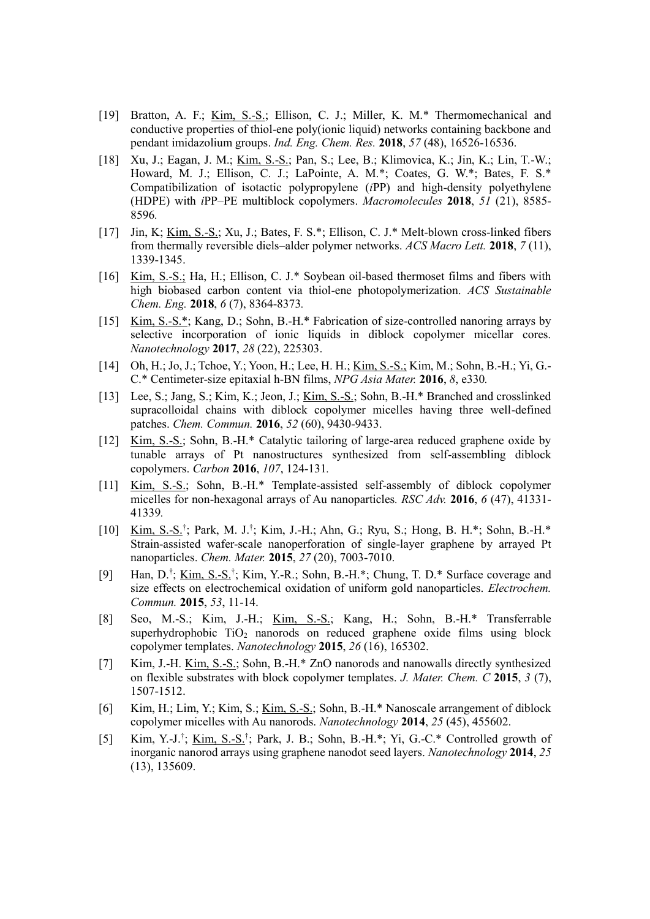- [19] Bratton, A. F.; Kim, S.-S.; Ellison, C. J.; Miller, K. M.\* Thermomechanical and conductive properties of thiol-ene poly(ionic liquid) networks containing backbone and pendant imidazolium groups. *Ind. Eng. Chem. Res.* **2018**, *57* (48), 16526-16536.
- [18] Xu, J.; Eagan, J. M.; Kim, S.-S.; Pan, S.; Lee, B.; Klimovica, K.; Jin, K.; Lin, T.-W.; Howard, M. J.; Ellison, C. J.; LaPointe, A. M.\*; Coates, G. W.\*; Bates, F. S.\* Compatibilization of isotactic polypropylene (*i*PP) and high-density polyethylene (HDPE) with *i*PP–PE multiblock copolymers. *Macromolecules* **2018**, *51* (21), 8585- 8596*.*
- [17] Jin, K; Kim, S.-S.; Xu, J.; Bates, F. S.\*; Ellison, C. J.\* Melt-blown cross-linked fibers from thermally reversible diels–alder polymer networks. *ACS Macro Lett.* **2018**, *7* (11), 1339-1345.
- [16] Kim, S.-S.; Ha, H.; Ellison, C. J.\* Soybean oil-based thermoset films and fibers with high biobased carbon content via thiol-ene photopolymerization. *ACS Sustainable Chem. Eng.* **2018**, *6* (7), 8364-8373*.*
- [15] Kim, S.-S.\*; Kang, D.; Sohn, B.-H.\* Fabrication of size-controlled nanoring arrays by selective incorporation of ionic liquids in diblock copolymer micellar cores. *Nanotechnology* **2017**, *28* (22), 225303.
- [14] Oh, H.; Jo, J.; Tchoe, Y.; Yoon, H.; Lee, H. H.; Kim, S.-S.; Kim, M.; Sohn, B.-H.; Yi, G.-C.\* Centimeter-size epitaxial h-BN films, *NPG Asia Mater.* **2016**, *8*, e330*.*
- [13] Lee, S.; Jang, S.; Kim, K.; Jeon, J.; <u>Kim, S.-S.</u>; Sohn, B.-H.\* Branched and crosslinked supracolloidal chains with diblock copolymer micelles having three well-defined patches. *Chem. Commun.* **2016**, *52* (60), 9430-9433.
- [12] Kim, S.-S.; Sohn, B.-H.\* Catalytic tailoring of large-area reduced graphene oxide by tunable arrays of Pt nanostructures synthesized from self-assembling diblock copolymers. *Carbon* **2016**, *107*, 124-131*.*
- [11] Kim, S.-S.; Sohn, B.-H.\* Template-assisted self-assembly of diblock copolymer micelles for non-hexagonal arrays of Au nanoparticles*. RSC Adv.* **2016**, *6* (47), 41331- 41339*.*
- [10] Kim, S.-S.<sup>†</sup>; Park, M. J.<sup>†</sup>; Kim, J.-H.; Ahn, G.; Ryu, S.; Hong, B. H.\*; Sohn, B.-H.\* Strain-assisted wafer-scale nanoperforation of single-layer graphene by arrayed Pt nanoparticles. *Chem. Mater.* **2015**, *27* (20), 7003-7010.
- [9] Han, D.<sup>†</sup>; <u>Kim, S.-S.</u><sup>†</sup>; Kim, Y.-R.; Sohn, B.-H.\*; Chung, T. D.\* Surface coverage and size effects on electrochemical oxidation of uniform gold nanoparticles. *Electrochem. Commun.* **2015**, *53*, 11-14.
- [8] Seo, M.-S.; Kim, J.-H.; Kim, S.-S.; Kang, H.; Sohn, B.-H.\* Transferrable superhydrophobic  $TiO<sub>2</sub>$  nanorods on reduced graphene oxide films using block copolymer templates. *Nanotechnology* **2015**, *26* (16), 165302.
- [7] Kim, J.-H. Kim, S.-S.; Sohn, B.-H.\* ZnO nanorods and nanowalls directly synthesized on flexible substrates with block copolymer templates. *J. Mater. Chem. C* **2015**, *3* (7), 1507-1512.
- [6] Kim, H.; Lim, Y.; Kim, S.; Kim, S.-S.; Sohn, B.-H.\* Nanoscale arrangement of diblock copolymer micelles with Au nanorods. *Nanotechnology* **2014**, *25* (45), 455602.
- [5] Kim, Y.-J.<sup>†</sup>; <u>Kim, S.-S.</u><sup>†</sup>; Park, J. B.; Sohn, B.-H.\*; Yi, G.-C.\* Controlled growth of inorganic nanorod arrays using graphene nanodot seed layers. *Nanotechnology* **2014**, *25* (13), 135609.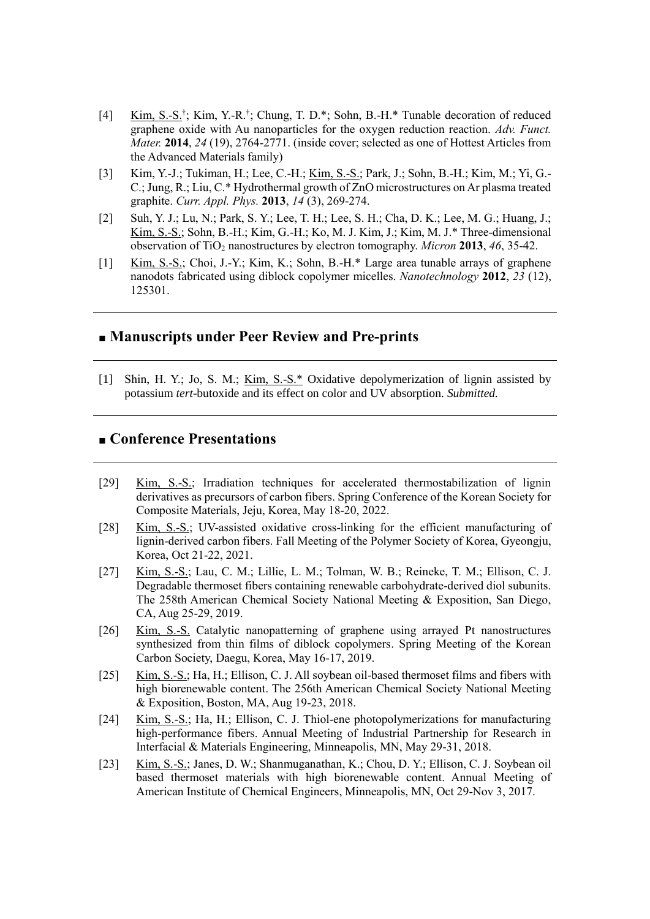- [4] Kim, S.-S.<sup>†</sup>; Kim, Y.-R.<sup>†</sup>; Chung, T. D.\*; Sohn, B.-H.\* Tunable decoration of reduced graphene oxide with Au nanoparticles for the oxygen reduction reaction. *Adv. Funct. Mater.* **2014**, *24* (19), 2764-2771. (inside cover; selected as one of Hottest Articles from the Advanced Materials family)
- [3] Kim, Y.-J.; Tukiman, H.; Lee, C.-H.; Kim, S.-S.; Park, J.; Sohn, B.-H.; Kim, M.; Yi, G.- C.; Jung, R.; Liu, C.\* Hydrothermal growth of ZnO microstructures on Ar plasma treated graphite. *Curr. Appl. Phys.* **2013**, *14* (3), 269-274.
- [2] Suh, Y. J.; Lu, N.; Park, S. Y.; Lee, T. H.; Lee, S. H.; Cha, D. K.; Lee, M. G.; Huang, J.; Kim, S.-S.; Sohn, B.-H.; Kim, G.-H.; Ko, M. J. Kim, J.; Kim, M. J.\* Three-dimensional observation of TiO<sup>2</sup> nanostructures by electron tomography. *Micron* **2013**, *46*, 35-42.
- [1] Kim, S.-S.; Choi, J.-Y.; Kim, K.; Sohn, B.-H.\* Large area tunable arrays of graphene nanodots fabricated using diblock copolymer micelles. *Nanotechnology* **2012**, *23* (12), 125301.

#### **■ Manuscripts under Peer Review and Pre-prints**

[1] Shin, H. Y.; Jo, S. M.; Kim, S.-S.\* Oxidative depolymerization of lignin assisted by potassium *tert*-butoxide and its effect on color and UV absorption. *Submitted.*

## **■ Conference Presentations**

- [29] Kim, S.-S.; Irradiation techniques for accelerated thermostabilization of lignin derivatives as precursors of carbon fibers. Spring Conference of the Korean Society for Composite Materials, Jeju, Korea, May 18-20, 2022.
- [28] Kim, S.-S.; UV-assisted oxidative cross-linking for the efficient manufacturing of lignin-derived carbon fibers. Fall Meeting of the Polymer Society of Korea, Gyeongju, Korea, Oct 21-22, 2021.
- [27] Kim, S.-S.; Lau, C. M.; Lillie, L. M.; Tolman, W. B.; Reineke, T. M.; Ellison, C. J. Degradable thermoset fibers containing renewable carbohydrate-derived diol subunits. The 258th American Chemical Society National Meeting & Exposition, San Diego, CA, Aug 25-29, 2019.
- [26] Kim, S.-S. Catalytic nanopatterning of graphene using arrayed Pt nanostructures synthesized from thin films of diblock copolymers. Spring Meeting of the Korean Carbon Society, Daegu, Korea, May 16-17, 2019.
- [25] Kim, S.-S.; Ha, H.; Ellison, C. J. All soybean oil-based thermoset films and fibers with high biorenewable content. The 256th American Chemical Society National Meeting & Exposition, Boston, MA, Aug 19-23, 2018.
- [24] Kim, S.-S.; Ha, H.; Ellison, C. J. Thiol-ene photopolymerizations for manufacturing high-performance fibers. Annual Meeting of Industrial Partnership for Research in Interfacial & Materials Engineering, Minneapolis, MN, May 29-31, 2018.
- [23] Kim, S.-S.; Janes, D. W.; Shanmuganathan, K.; Chou, D. Y.; Ellison, C. J. Soybean oil based thermoset materials with high biorenewable content. Annual Meeting of American Institute of Chemical Engineers, Minneapolis, MN, Oct 29-Nov 3, 2017.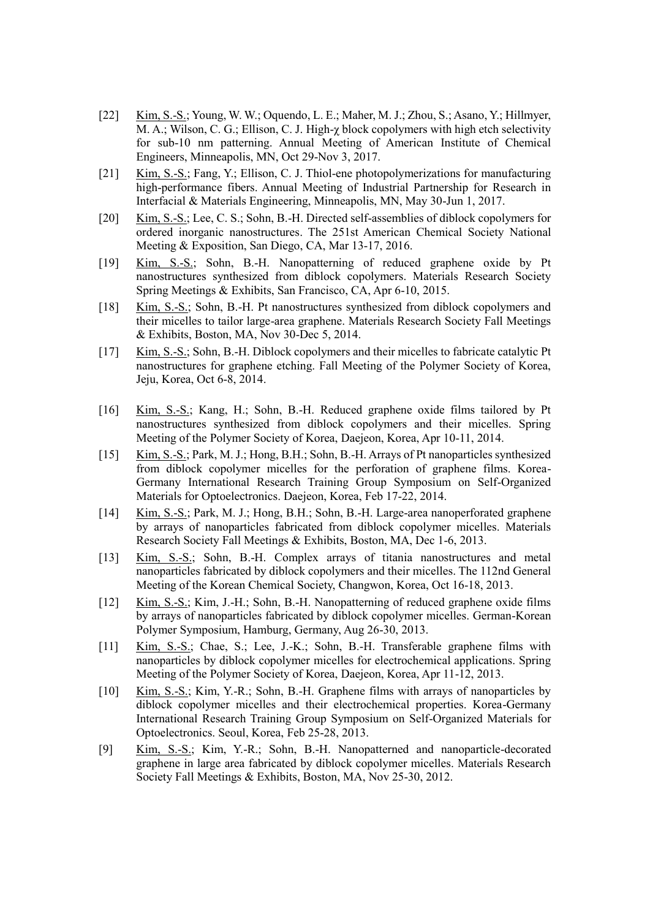- [22] Kim, S.-S.; Young, W. W.; Oquendo, L. E.; Maher, M. J.; Zhou, S.; Asano, Y.; Hillmyer, M. A.; Wilson, C. G.; Ellison, C. J. High-χ block copolymers with high etch selectivity for sub-10 nm patterning. Annual Meeting of American Institute of Chemical Engineers, Minneapolis, MN, Oct 29-Nov 3, 2017.
- [21] Kim, S.-S.; Fang, Y.; Ellison, C. J. Thiol-ene photopolymerizations for manufacturing high-performance fibers. Annual Meeting of Industrial Partnership for Research in Interfacial & Materials Engineering, Minneapolis, MN, May 30-Jun 1, 2017.
- [20] Kim, S.-S.; Lee, C. S.; Sohn, B.-H. Directed self-assemblies of diblock copolymers for ordered inorganic nanostructures. The 251st American Chemical Society National Meeting & Exposition, San Diego, CA, Mar 13-17, 2016.
- [19] Kim, S.-S.; Sohn, B.-H. Nanopatterning of reduced graphene oxide by Pt nanostructures synthesized from diblock copolymers. Materials Research Society Spring Meetings & Exhibits, San Francisco, CA, Apr 6-10, 2015.
- [18] Kim, S.-S.; Sohn, B.-H. Pt nanostructures synthesized from diblock copolymers and their micelles to tailor large-area graphene. Materials Research Society Fall Meetings & Exhibits, Boston, MA, Nov 30-Dec 5, 2014.
- [17] Kim, S.-S.; Sohn, B.-H. Diblock copolymers and their micelles to fabricate catalytic Pt nanostructures for graphene etching. Fall Meeting of the Polymer Society of Korea, Jeju, Korea, Oct 6-8, 2014.
- [16] Kim, S.-S.; Kang, H.; Sohn, B.-H. Reduced graphene oxide films tailored by Pt nanostructures synthesized from diblock copolymers and their micelles. Spring Meeting of the Polymer Society of Korea, Daejeon, Korea, Apr 10-11, 2014.
- [15] Kim, S.-S.; Park, M. J.; Hong, B.H.; Sohn, B.-H. Arrays of Pt nanoparticles synthesized from diblock copolymer micelles for the perforation of graphene films. Korea-Germany International Research Training Group Symposium on Self-Organized Materials for Optoelectronics. Daejeon, Korea, Feb 17-22, 2014.
- [14] Kim, S.-S.; Park, M. J.; Hong, B.H.; Sohn, B.-H. Large-area nanoperforated graphene by arrays of nanoparticles fabricated from diblock copolymer micelles. Materials Research Society Fall Meetings & Exhibits, Boston, MA, Dec 1-6, 2013.
- [13] Kim, S.-S.; Sohn, B.-H. Complex arrays of titania nanostructures and metal nanoparticles fabricated by diblock copolymers and their micelles. The 112nd General Meeting of the Korean Chemical Society, Changwon, Korea, Oct 16-18, 2013.
- [12] Kim, S.-S.; Kim, J.-H.; Sohn, B.-H. Nanopatterning of reduced graphene oxide films by arrays of nanoparticles fabricated by diblock copolymer micelles. German-Korean Polymer Symposium, Hamburg, Germany, Aug 26-30, 2013.
- [11] Kim, S.-S.; Chae, S.; Lee, J.-K.; Sohn, B.-H. Transferable graphene films with nanoparticles by diblock copolymer micelles for electrochemical applications. Spring Meeting of the Polymer Society of Korea, Daejeon, Korea, Apr 11-12, 2013.
- [10] Kim, S.-S.; Kim, Y.-R.; Sohn, B.-H. Graphene films with arrays of nanoparticles by diblock copolymer micelles and their electrochemical properties. Korea-Germany International Research Training Group Symposium on Self-Organized Materials for Optoelectronics. Seoul, Korea, Feb 25-28, 2013.
- [9] Kim, S.-S.; Kim, Y.-R.; Sohn, B.-H. Nanopatterned and nanoparticle-decorated graphene in large area fabricated by diblock copolymer micelles. Materials Research Society Fall Meetings & Exhibits, Boston, MA, Nov 25-30, 2012.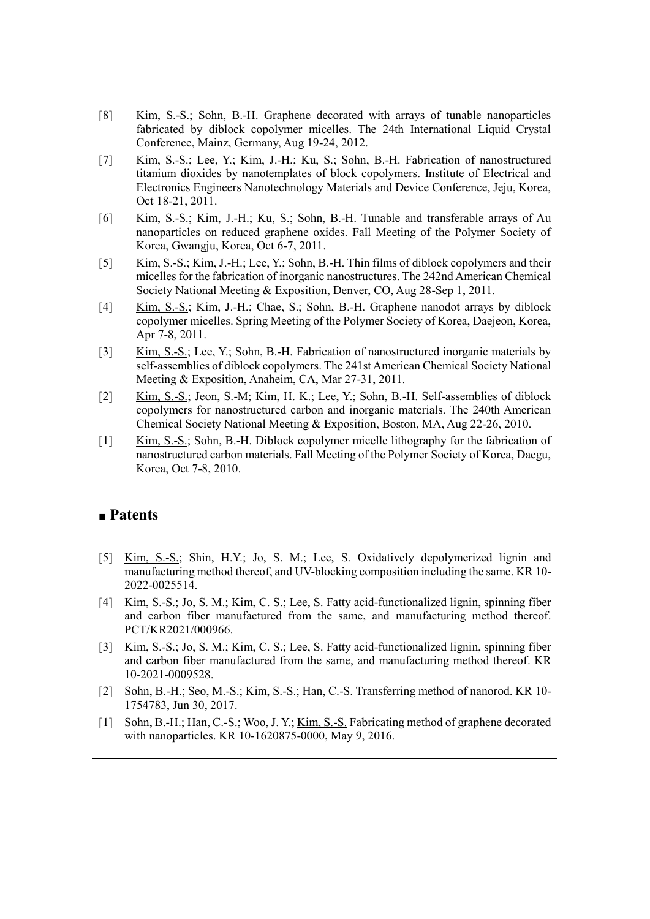- [8] Kim, S.-S.; Sohn, B.-H. Graphene decorated with arrays of tunable nanoparticles fabricated by diblock copolymer micelles. The 24th International Liquid Crystal Conference, Mainz, Germany, Aug 19-24, 2012.
- [7] Kim, S.-S.; Lee, Y.; Kim, J.-H.; Ku, S.; Sohn, B.-H. Fabrication of nanostructured titanium dioxides by nanotemplates of block copolymers. Institute of Electrical and Electronics Engineers Nanotechnology Materials and Device Conference, Jeju, Korea, Oct 18-21, 2011.
- [6] Kim, S.-S.; Kim, J.-H.; Ku, S.; Sohn, B.-H. Tunable and transferable arrays of Au nanoparticles on reduced graphene oxides. Fall Meeting of the Polymer Society of Korea, Gwangju, Korea, Oct 6-7, 2011.
- [5] Kim, S.-S.; Kim, J.-H.; Lee, Y.; Sohn, B.-H. Thin films of diblock copolymers and their micelles for the fabrication of inorganic nanostructures. The 242nd American Chemical Society National Meeting & Exposition, Denver, CO, Aug 28-Sep 1, 2011.
- [4] Kim, S.-S.; Kim, J.-H.; Chae, S.; Sohn, B.-H. Graphene nanodot arrays by diblock copolymer micelles. Spring Meeting of the Polymer Society of Korea, Daejeon, Korea, Apr 7-8, 2011.
- [3] Kim, S.-S.; Lee, Y.; Sohn, B.-H. Fabrication of nanostructured inorganic materials by self-assemblies of diblock copolymers. The 241st American Chemical Society National Meeting & Exposition, Anaheim, CA, Mar 27-31, 2011.
- [2] Kim, S.-S.; Jeon, S.-M; Kim, H. K.; Lee, Y.; Sohn, B.-H. Self-assemblies of diblock copolymers for nanostructured carbon and inorganic materials. The 240th American Chemical Society National Meeting & Exposition, Boston, MA, Aug 22-26, 2010.
- [1] Kim, S.-S.; Sohn, B.-H. Diblock copolymer micelle lithography for the fabrication of nanostructured carbon materials. Fall Meeting of the Polymer Society of Korea, Daegu, Korea, Oct 7-8, 2010.

### **■ Patents**

- [5] Kim, S.-S.; Shin, H.Y.; Jo, S. M.; Lee, S. Oxidatively depolymerized lignin and manufacturing method thereof, and UV-blocking composition including the same. KR 10- 2022-0025514.
- [4] Kim, S.-S.; Jo, S. M.; Kim, C. S.; Lee, S. Fatty acid-functionalized lignin, spinning fiber and carbon fiber manufactured from the same, and manufacturing method thereof. PCT/KR2021/000966.
- [3] Kim, S.-S.; Jo, S. M.; Kim, C. S.; Lee, S. Fatty acid-functionalized lignin, spinning fiber and carbon fiber manufactured from the same, and manufacturing method thereof. KR 10-2021-0009528.
- [2] Sohn, B.-H.; Seo, M.-S.; Kim, S.-S.; Han, C.-S. Transferring method of nanorod. KR 10- 1754783, Jun 30, 2017.
- [1] Sohn, B.-H.; Han, C.-S.; Woo, J. Y.; Kim, S.-S. Fabricating method of graphene decorated with nanoparticles. KR 10-1620875-0000, May 9, 2016.